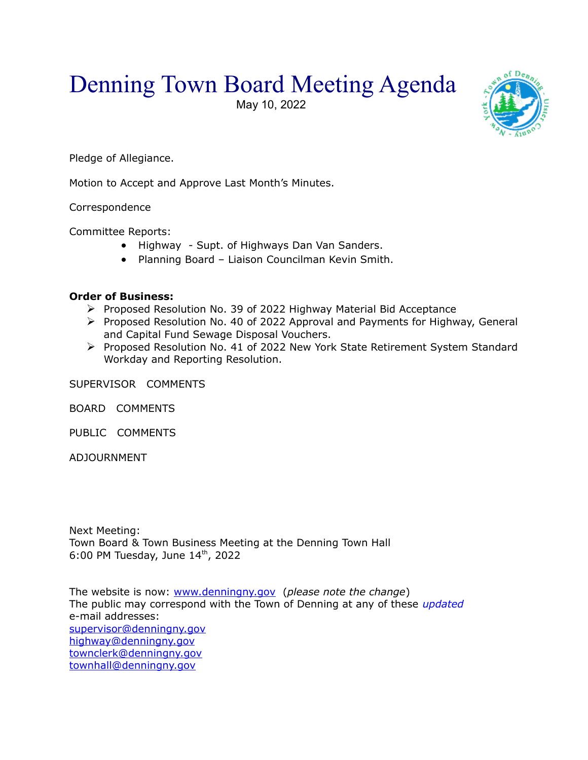## Denning Town Board Meeting Agenda

May 10, 2022



Pledge of Allegiance.

Motion to Accept and Approve Last Month's Minutes.

Correspondence

Committee Reports:

- Highway Supt. of Highways Dan Van Sanders.
- Planning Board Liaison Councilman Kevin Smith.

## **Order of Business:**

- $\triangleright$  Proposed Resolution No. 39 of 2022 Highway Material Bid Acceptance
- Proposed Resolution No. 40 of 2022 Approval and Payments for Highway, General and Capital Fund Sewage Disposal Vouchers.
- Proposed Resolution No. 41 of 2022 New York State Retirement System Standard Workday and Reporting Resolution.

SUPERVISOR COMMENTS

BOARD COMMENTS

PUBLIC COMMENTS

ADJOURNMENT

Next Meeting: Town Board & Town Business Meeting at the Denning Town Hall 6:00 PM Tuesday, June  $14<sup>th</sup>$ , 2022

The website is now: [www.denningny.gov](http://www.denningny.gov/) (*please note the change*) The public may correspond with the Town of Denning at any of these *updated* e-mail addresses: [supervisor@denningny.gov](mailto:supervisor@denningny.gov) [highway@denningny.gov](mailto:highway@denningny.gov) [townclerk@denningny.gov](mailto:townclerk@denningny.gov) [townhall@denningny.gov](mailto:townhall@denningny.gov)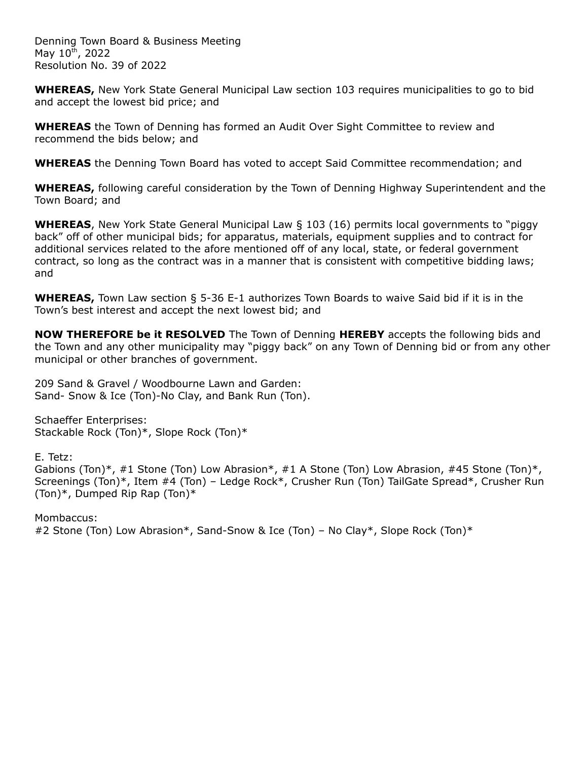Denning Town Board & Business Meeting May  $10^{th}$ , 2022 Resolution No. 39 of 2022

**WHEREAS,** New York State General Municipal Law section 103 requires municipalities to go to bid and accept the lowest bid price; and

**WHEREAS** the Town of Denning has formed an Audit Over Sight Committee to review and recommend the bids below; and

**WHEREAS** the Denning Town Board has voted to accept Said Committee recommendation; and

**WHEREAS,** following careful consideration by the Town of Denning Highway Superintendent and the Town Board; and

**WHEREAS**, New York State General Municipal Law § 103 (16) permits local governments to "piggy back" off of other municipal bids; for apparatus, materials, equipment supplies and to contract for additional services related to the afore mentioned off of any local, state, or federal government contract, so long as the contract was in a manner that is consistent with competitive bidding laws; and

**WHEREAS,** Town Law section § 5-36 E-1 authorizes Town Boards to waive Said bid if it is in the Town's best interest and accept the next lowest bid; and

**NOW THEREFORE be it RESOLVED** The Town of Denning **HEREBY** accepts the following bids and the Town and any other municipality may "piggy back" on any Town of Denning bid or from any other municipal or other branches of government.

209 Sand & Gravel / Woodbourne Lawn and Garden: Sand- Snow & Ice (Ton)-No Clay, and Bank Run (Ton).

Schaeffer Enterprises: Stackable Rock (Ton)\*, Slope Rock (Ton)\*

E. Tetz:

Gabions (Ton)\*, #1 Stone (Ton) Low Abrasion\*, #1 A Stone (Ton) Low Abrasion, #45 Stone (Ton)\*, Screenings (Ton)\*, Item #4 (Ton) – Ledge Rock\*, Crusher Run (Ton) TailGate Spread\*, Crusher Run (Ton)\*, Dumped Rip Rap (Ton)\*

Mombaccus: #2 Stone (Ton) Low Abrasion\*, Sand-Snow & Ice (Ton) – No Clay\*, Slope Rock (Ton)\*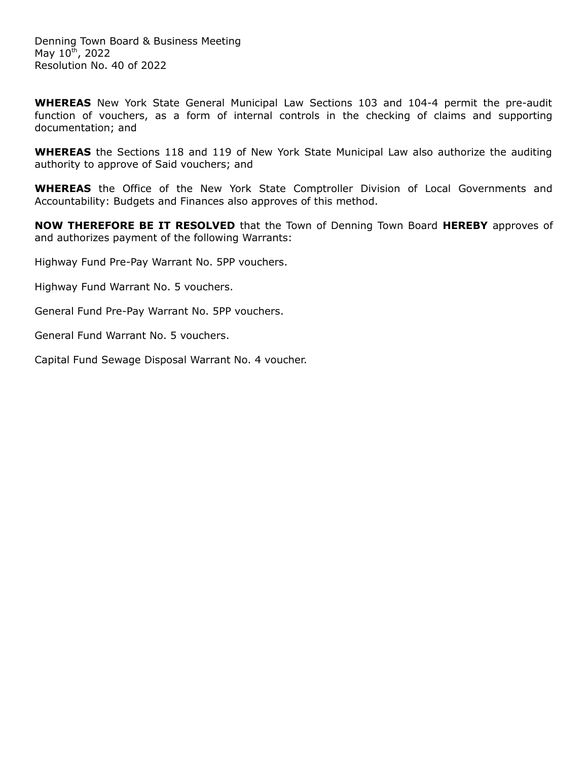**WHEREAS** New York State General Municipal Law Sections 103 and 104-4 permit the pre-audit function of vouchers, as a form of internal controls in the checking of claims and supporting documentation; and

**WHEREAS** the Sections 118 and 119 of New York State Municipal Law also authorize the auditing authority to approve of Said vouchers; and

**WHEREAS** the Office of the New York State Comptroller Division of Local Governments and Accountability: Budgets and Finances also approves of this method.

**NOW THEREFORE BE IT RESOLVED** that the Town of Denning Town Board **HEREBY** approves of and authorizes payment of the following Warrants:

Highway Fund Pre-Pay Warrant No. 5PP vouchers.

Highway Fund Warrant No. 5 vouchers.

General Fund Pre-Pay Warrant No. 5PP vouchers.

General Fund Warrant No. 5 vouchers.

Capital Fund Sewage Disposal Warrant No. 4 voucher.